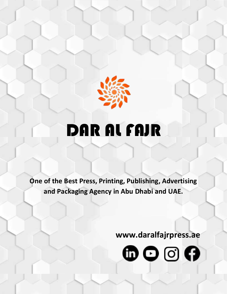

# DAR AL FAJR

**One of the Best Press, Printing, Publishing, Advertising and Packaging Agency in Abu Dhabi and UAE.**

Ì

**www.daralfajrpress.ae**

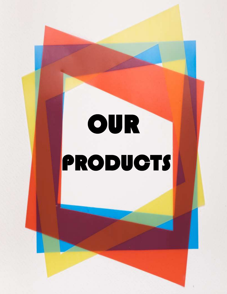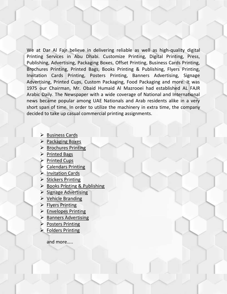We at Dar Al Fajr believe in delivering reliable as well as high-quality digital Printing Services in Abu Dhabi. Customize Printing, Digital Printing, Press, Publishing, Advertising, Packaging Boxes, Offset Printing, Business Cards Printing, Brochures Printing, Printed Bags, Books Printing & Publishing, Flyers Printing, Invitation Cards Printing, Posters Printing, Banners Advertising, Signage Advertising, Printed Cups, Custom Packaging, Food Packaging and more. It was 1975 our Chairman, Mr. Obaid Humaid Al Mazrooei had established AL FAJR Arabic Daily. The Newspaper with a wide coverage of National and International news became popular among UAE Nationals and Arab residents alike in a very short span of time. In order to utilize the machinery in extra time, the company decided to take up casual commercial printing assignments.

- $\triangleright$  Business Cards
- $\triangleright$  Packaging Boxes
- $\triangleright$  Brochures Printing
- $\triangleright$  Printed Bags
- **Printed Cups**
- Calendars Printing
- $\triangleright$  Invitation Cards
- $\triangleright$  Stickers Printing
- $\triangleright$  Books Printing & Publishing
- $\triangleright$  Signage Advertising
- $\triangleright$  Vehicle Branding
- $\triangleright$  Flyers Printing
- $\triangleright$  Envelopes Printing
- $\triangleright$  Banners Advertising
- $\triangleright$  Posters Printing
- $\triangleright$  Folders Printing

and more…..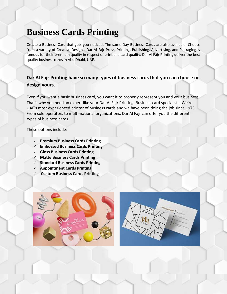# **Business Cards Printing**

Create a Business Card that gets you noticed. The same Day Business Cards are also available. Choose from a variety of Creative Designs. Dar Al Fajr Press, Printing, Publishing, Advertising, and Packaging is famous for their premium quality in respect of print and card quality. Dar Al Fajr Printing deliver the best quality business cards in Abu Dhabi, UAE.

### **Dar Al Fajr Printing have so many types of business cards that you can choose or design yours.**

Even if you want a basic business card, you want it to properly represent you and your business. That's why you need an expert like your Dar Al Fajr Printing, Business card specialists. We're UAE's most experienced printer of business cards and we have been doing the job since 1975. From sole operators to multi-national organizations, Dar Al Fajr can offer you the different types of business cards.

- **Premium Business Cards Printing**
- **Embossed Business Cards Printing**
- **Gloss Business Cards Printing**
- **Matte Business Cards Printing**
- **Standard Business Cards Printing**
- **Appointment Cards Printing**
- **Custom Business Cards Printing**



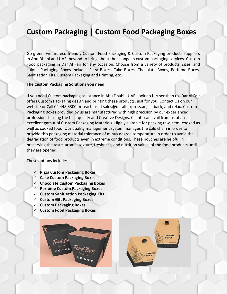### **Custom Packaging | Custom Food Packaging Boxes**

Go green, we are eco-friendly Custom Food Packaging & Custom Packaging products suppliers in Abu Dhabi and UAE, beyond to bring about the change in custom packaging services. Custom Food packaging in Dar Al Fajr for any occasion. Choose from a variety of products, sizes, and colors. Packaging Boxes includes Pizza Boxes, Cake Boxes, Chocolate Boxes, Perfume Boxes, Sanitization Kits, Custom Packaging and Printing, etc.

#### **The Custom Packaging Solutions you need.**

If you need Custom packaging assistance in Abu Dhabi - UAE, look no further than us. Dar Al Fajr offers Custom Packaging design and printing these products, just for you. Contact Us on our website or Call 02 448 8300 or reach us at sales@daralfajrpress.ae, sit back, and relax. Custom Packaging Boxes provided by us are manufactured with high precision by our experienced professionals using the best quality and Creative Designs. Clients can avail from us of an excellent gamut of Custom Packaging Materials. Highly suitable for packing raw, semi-cooked as well as cooked food. Our quality management system manages the cold chain in order to provide this packaging material tolerance of minus degree temperature in order to avoid the degradation of food products even in extreme conditions. These pouches are helpful in preserving the taste, aroma, texture, freshness, and nutrition values of the food products until they are opened.

- **Pizza Custom Packaging Boxes**
- **Cake Custom Packaging Boxes**
- **Chocolate Custom Packaging Boxes**
- **Perfume Custom Packaging Boxes**
- **Custom Sanitization Packaging Kits**
- **Custom Gift Packaging Boxes**
- **Custom Packaging Boxes**
- **Custom Food Packaging Boxes**



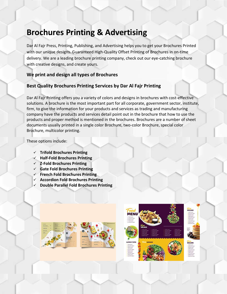### **Brochures Printing & Advertising**

Dar Al Fajr Press, Printing, Publishing, and Advertising helps you to get your Brochures Printed with our unique designs. Guaranteed High-Quality Offset Printing of Brochures in on-time delivery. We are a leading brochure printing company, check out our eye-catching brochure with creative designs, and create yours.

### **We print and design all types of Brochures**

### **Best Quality Brochures Printing Services by Dar Al Fajr Printing**

Dar Al Fajr Printing offers you a variety of colors and designs in brochures with cost-effective solutions. A brochure is the most important part for all corporate, government sector, institute, firm, to give the information for your products and services as trading and manufacturing company have the products and services detail point out in the brochure that how to use the products and proper method is mentioned in the brochures. Brochures are a number of sheet documents usually printed in a single color Brochure, two-color Brochure, special color Brochure, multicolor printing.

- **Trifold Brochures Printing**
- **Half-Fold Brochures Printing**
- **Z-Fold Brochures Printing**
- **Gate Fold Brochures Printing**
- **French Fold Brochures Printing**
- **Accordion Fold Brochures Printing**
- **Double Parallel Fold Brochures Printing**







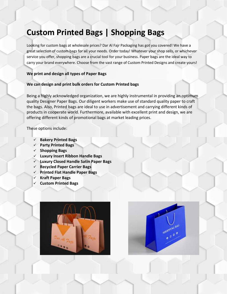### **Custom Printed Bags | Shopping Bags**

Looking for custom bags at wholesale prices? Dar Al Fajr Packaging has got you covered! We have a great selection of custom bags for all your needs. Order today! Whatever your shop sells, or whichever service you offer, shopping bags are a crucial tool for your business. Paper bags are the ideal way to carry your brand everywhere. Choose from the vast range of Custom Printed Designs and create yours!

#### **We print and design all types of Paper Bags**

#### **We can design and print bulk orders for Custom Printed bags**

Being a highly acknowledged organization, we are highly instrumental in providing an optimum quality Designer Paper Bags. Our diligent workers make use of standard quality paper to craft the bags. Also, Printed bags are ideal to use in advertisement and carrying different kinds of products in cooperate world. Furthermore, available with excellent print and design, we are offering different kinds of promotional bags at market leading prices.

- **Bakery Printed Bags**
- **Party Printed Bags**
- **Shopping Bags**
- **Luxury Insert Ribbon Handle Bags**
- **Luxury Closed Handle Satin Paper Bags**
- **Recycled Paper Carrier Bags**
- **Printed Flat Handle Paper Bags**
- **Kraft Paper Bags**
- **Custom Printed Bags**



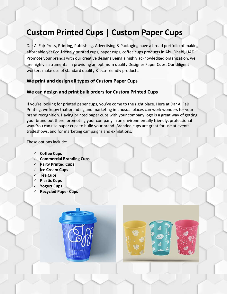## **Custom Printed Cups | Custom Paper Cups**

Dar Al Fajr Press, Printing, Publishing, Advertising & Packaging have a broad portfolio of making affordable yet Eco-friendly printed cups, paper cups, coffee cups products in Abu Dhabi, UAE. Promote your brands with our creative designs Being a highly acknowledged organization, we are highly instrumental in providing an optimum quality Designer Paper Cups. Our diligent workers make use of standard quality & eco-friendly products.

### **We print and design all types of Custom Paper Cups**

### **We can design and print bulk orders for Custom Printed Cups**

If you're looking for printed paper cups, you've come to the right place. Here at Dar Al Fajr Printing, we know that branding and marketing in unusual places can work wonders for your brand recognition. Having printed paper cups with your company logo is a great way of getting your brand out there, promoting your company in an environmentally friendly, professional way. You can use paper cups to build your brand. Branded cups are great for use at events, tradeshows, and for marketing campaigns and exhibitions.

- **Coffee Cups**
- **Commercial Branding Cups**
- **Party Printed Cups**
- **Ice Cream Cups**
- **Tea Cups**
- **Plastic Cups**
- **Yogurt Cups**
- **Recycled Paper Cups**



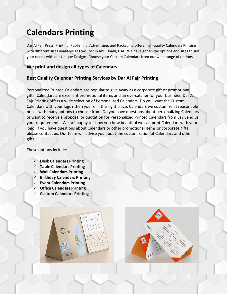### **Calendars Printing**

Dar Al Fajr Press, Printing, Publishing, Advertising, and Packaging offers high-quality Calendars Printing with different sizes available at Low Cost in Abu Dhabi, UAE. We have got all the options and sizes to suit your needs with our Unique Designs. Choose your Custom Calendars from our wide range of options.

### **We print and design all types of Calendars**

### **Best Quality Calendar Printing Services by Dar Al Fajr Printing**

Personalized Printed Calendars are popular to give away as a corporate gift or promotional gifts. Calendars are excellent promotional items and an eye-catcher for your business. Dar Al Fajr Printing offers a wide selection of Personalized Calendars. Do you want the Custom Calendars with your logo? then you're in the right place. Calendars we customize at reasonable prices with many options to choose from. Do you have questions about personalizing Calendars or want to receive a proposal or quotation for Personalized Printed Calendars from us? Send us your requirements. We are happy to show you how beautiful we can print Calendars with your logo. If you have questions about Calendars or other promotional items or corporate gifts, please contact us. Our team will advise you about the customization of Calendars and other gifts.

These options include:

- **Desk Calendars Printing**
- **Table Calendars Printing**
- **Wall Calendars Printing**
- **Birthday Calendars Printing**
- **Event Calendars Printing**
- **Office Calendars Printing**
- **Custom Calendars Printing**

tent calendar

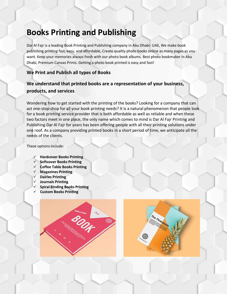### **Books Printing and Publishing**

Dar Al Fajr is a leading Book Printing and Publishing company in Abu Dhabi- UAE, We make book publishing printing fast, easy, and affordable, Create quality photo books online as many pages as you want. Keep your memories always fresh with our photo book albums. Best photo bookmaker in Abu Dhabi, Premium Canvas Prints. Getting a photo book printed is easy and fast!

### **We Print and Publish all types of Books**

### **We understand that printed books are a representation of your business, products, and services**

Wondering how to get started with the printing of the books? Looking for a company that can act one-stop shop for all your book printing needs? It is a natural phenomenon that people look for a book printing service provider that is both affordable as well as reliable and when these two factors meet in one place, the only name which comes to mind is Dar Al Fajr Printing and Publishing.Dar Al Fajr for years has been offering people with all their printing solutions under one roof. As a company providing printed books in a short period of time, we anticipate all the needs of the clients.

- **Hardcover Books Printing**
- **Softcover Books Printing**
- **Coffee Table Books Printing**
- **Magazines Printing**
- **Dairies Printing**
- **Journals Printing**
- **Spiral Binding Books Printing**
- **Custom Books Printing**

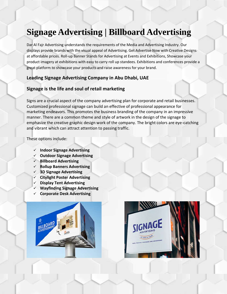# **Signage Advertising | Billboard Advertising**

Dar Al Fajr Advertising understands the requirements of the Media and Advertising Industry. Our displays provide brands with the visual appeal of Advertising. Get Advertise Now with Creative Designs at affordable prices. Roll-up Banner Stands for Advertising at Events and Exhibitions, Showcase your product imagery at exhibitions with easy to carry roll up standees. Exhibitions and conferences provide a great platform to showcase your products and raise awareness for your brand.

### **Leading Signage Advertising Company in Abu Dhabi, UAE**

### **Signage is the life and soul of retail marketing**

Signs are a crucial aspect of the company advertising plan for corporate and retail businesses. Customized professional signage can build an effective of professional appearance for marketing endeavors. This promotes the business branding of the company in an impressive manner. There are a common theme and style of artwork in the design of the signage to emphasize the creative graphic design work of the company. The bright colors are eye-catching and vibrant which can attract attention to passing traffic.

- **Indoor Signage Advertising**
- **Outdoor Signage Advertising**
- **Billboard Advertising**
- **Rollup Banners Advertising**
- **3D Signage Advertising**
- **Citylight Poster Advertising**
- **Display Tent Advertising**
- **Wayfinding Signage Advertising**
- **Corporate Desk Advertising**



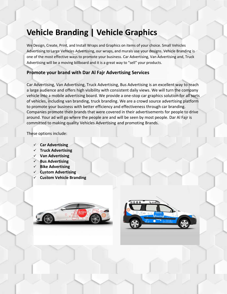### **Vehicle Branding | Vehicle Graphics**

We Design, Create, Print, and Install Wraps and Graphics on items of your choice. Small Vehicles Advertising to Large Vehicles Advertising, our wraps, and murals use your designs. Vehicle Branding is one of the most effective ways to promote your business. Car Advertising, Van Advertising and, Truck Advertising will be a moving billboard and it is a great way to "sell" your products.

### **Promote your brand with Dar Al Fajr Advertising Services**

Car Advertising, Van Advertising, Truck Advertising, Bus Advertising is an excellent way to reach a large audience and offers high visibility with consistent daily views. We will turn the company vehicle into a mobile advertising board. We provide a one-stop car graphics solution for all sorts of vehicles, including van branding, truck branding. We are a crowd source advertising platform to promote your business with better efficiency and effectiveness through car branding. Companies promote their brands that were covered in their advertisements for people to drive around. Your ad will go where the people are and will be seen by most people. Dar Al Fajr is committed to making quality Vehicles Advertising and promoting Brands.

- **Car Advertising**
- **Truck Advertising**
- **Van Advertising**
- **Bus Advertising**
- **Bike Advertising**
- **Custom Advertising**
- **Custom Vehicle Branding**



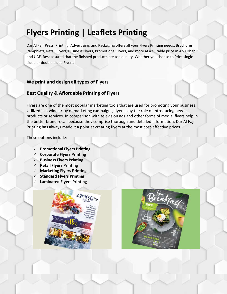### **Flyers Printing | Leaflets Printing**

Dar Al Fajr Press, Printing, Advertising, and Packaging offers all your Flyers Printing needs, Brochures, Pamphlets, Retail Flyers, Business Flyers, Promotional Flyers, and more at a suitable price in Abu Dhabi and UAE. Rest assured that the finished products are top quality. Whether you choose to Print singlesided or double-sided Flyers.

#### **We print and design all types of Flyers**

#### **Best Quality & Affordable Printing of Flyers**

Flyers are one of the most popular marketing tools that are used for promoting your business. Utilized in a wide array of marketing campaigns, flyers play the role of introducing new products or services. In comparison with television ads and other forms of media, flyers help in the better brand recall because they comprise thorough and detailed information. Dar Al Fajr Printing has always made it a point at creating flyers at the most cost-effective prices.

- **Promotional Flyers Printing**
- **Corporate Flyers Printing**
- **Business Flyers Printing**
- **Retail Flyers Printing**
- **Marketing Flyers Printing**
- **Standard Flyers Printing**
- **Laminated Flyers Printing**



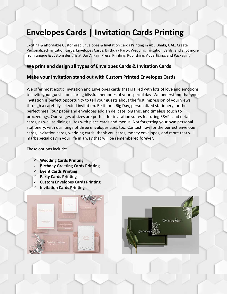### **Envelopes Cards | Invitation Cards Printing**

Exciting & affordable Customized Envelopes & Invitation Cards Printing in Abu Dhabi, UAE. Create Personalized Invitation cards, Envelopes Cards, Birthday Party, Wedding Invitation Cards, and a lot more from unique & custom designs at Dar Al Fajr, Press, Printing, Publishing, Advertising, and Packaging.

#### **We print and design all types of Envelopes Cards & Invitation Cards**

#### **Make your Invitation stand out with Custom Printed Envelopes Cards**

We offer most exotic Invitation and Envelopes cards that is filled with lots of love and emotions to invite your guests for sharing blissful memories of your special day. We understand that your invitation is perfect opportunity to tell your guests about the first impression of your views, through a carefully selected invitation. Be it for a Big Day, personalized stationery, or the perfect meal, our paper and envelopes add an delicate, organic, and timeless touch to proceedings. Our ranges of sizes are perfect for invitation suites featuring RSVPs and detail cards, as well as dining suites with place cards and menus. Not forgetting your own personal stationery, with our range of three envelopes sizes too. Contact now for the perfect envelope cards, invitation cards, wedding cards, thank you cards, money envelopes, and more that will mark special day in your life in a way that will be remembered forever.

- **Wedding Cards Printing**
- **Birthday Greeting Cards Printing**
- **Event Cards Printing**
- **Party Cards Printing**
- **Custom Envelopes Cards Printing**
- **Invitation Cards Printing**



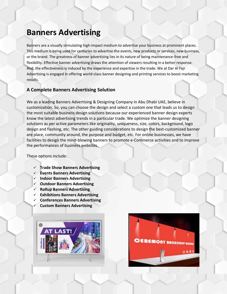### **Banners Advertising**

Banners are a visually stimulating high-impact medium to advertise your business at prominent places. This medium is being used for centuries to advertise the events, new products or services, new business, or the brand. The greatness of banner advertising lies in its nature of being maintenance-free and flexibility. Effective banner advertising draws the attention of viewers resulting in a better response. And, the effectiveness is induced by the experience and expertise in the trade. We at Dar Al Fajr Advertising is engaged in offering world-class banner designing and printing services to boost marketing results.

#### **A Complete Banners Advertising Solution**

We as a leading Banners Advertising & Designing Company in Abu Dhabi UAE, believe in customization. So, you can choose the design and select a custom one that leads us to design the most suitable business design solutions because our experienced banner design experts know the latest advertising trends in a particular trade. We optimize the banner designing solutions as per active parameters like originality, uniqueness, size, colors, background, logo design and flashing, etc. The other guiding considerations to design the best-customized banner are place, community around, the purpose and budget, etc. For online businesses, we have facilities to design the mind-blowing banners to promote e-Commerce activities and to improve the performances of business websites.

- **Trade Show Banners Advertising**
- **Events Banners Advertising**
- **Indoor Banners Advertising**
- **Outdoor Banners Advertising**
- **Rollup Banners Advertising**
- **Exhibitions Banners Advertising**
- **Conferences Banners Advertising**
- **Custom Banners Advertising**



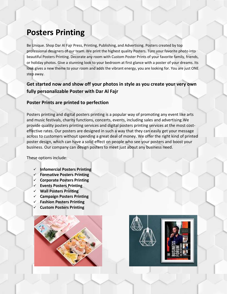### **Posters Printing**

Be Unique. Shop Dar Al Fajr Press, Printing, Publishing, and Advertising. Posters created by top professional designers of our team. We print the highest quality Posters. Turn your favorite photo into beautiful Posters Printing. Decorate any room with Custom Poster Prints of your favorite family, friends, or holiday photos. Give a stunning look to your bedroom at first glance with a poster of your dreams. Its look gives a new theme to your room and adds the vibrant energy, you are looking for. You are just ONE step away.

### **Get started now and show off your photos in style as you create your very own fully personalizable Poster with Dar Al Fajr**

#### **Poster Prints are printed to perfection**

Posters printing and digital posters printing is a popular way of promoting any event like arts and music festivals, charity functions, concerts, events, including sales and advertising.We provide quality posters printing services and digital posters printing services at the most costeffective rates. Our posters are designed in such a way that they can easily get your message across to customers without spending a great deal of money. We offer the right kind of printed poster design, which can have a solid effect on people who see your posters and boost your business. Our company can design posters to meet just about any business need.

- **Infomercial Posters Printing**
- **Formative Posters Printing**
- **Corporate Posters Printing**
- **Events Posters Printing**
- **Wall Posters Printing**
- **Campaign Posters Printing**
- **Fashion Posters Printing**
- **Custom Posters Printing**



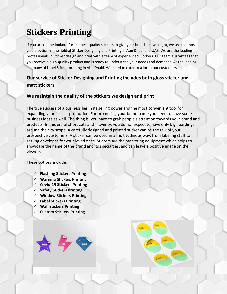# **Stickers Printing**

If you are on the lookout for the best quality stickers to give your brand a new height, we are the most viable option in the field of Sticker Designing and Printing in Abu Dhabi and UAE. We are the leading professionals in Sticker design and print with a team of experienced workers. Our team guarantees that you receive a high-quality product and is ready to understand your needs and demands. As the leading company of Label Sticker printing in Abu Dhabi. We need to cater to a lot to our customers.

### **Our service of Sticker Designing and Printing includes both gloss sticker and matt stickers**

### **We maintain the quality of the stickers we design and print**

The true success of a business lies in its selling power and the most convenient tool for expanding your sales is promotion. For promoting your brand name you need to have some business ideas as well. The thing is, you have to grab people's attention towards your brand and products. In this era of short cuts and T twenty, you do not expect to have only big hoardings around the city scope. A carefully designed and printed sticker can be the talk of your prospective customers. A sticker can be used in a multitudinous way, from labeling stuff to sealing envelopes for your loved ones. Stickers are the marketing equipment which helps to showcase the name of the brand and its specialties, and can leave a positive image on the viewers.

- **Flashing Stickers Printing**
- **Warning Stickers Printing**
- **Covid-19 Stickers Printing**
- **Safety Stickers Printing**
- **Window Stickers Printing**
- **Label Stickers Printing**
- **Wall Stickers Printing**
- **Custom Stickers Printing**